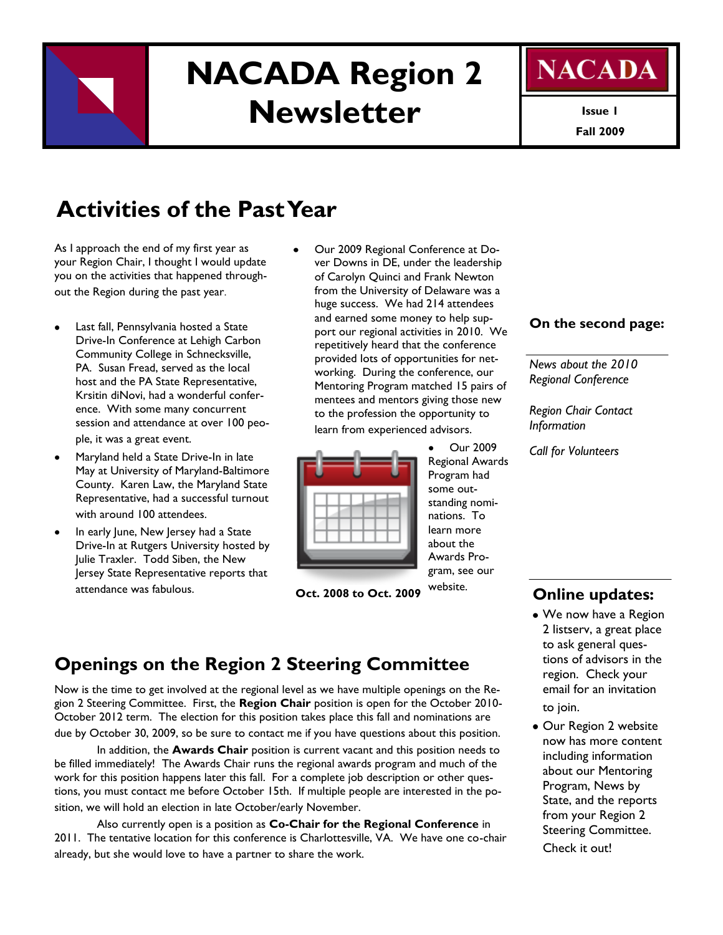

# **NACADA Region 2 Newsletter**



**Fall 2009 Issue 1**

## **Activities of the Past Year**

As I approach the end of my first year as your Region Chair, I thought I would update you on the activities that happened throughout the Region during the past year.

- Last fall, Pennsylvania hosted a State Drive-In Conference at Lehigh Carbon Community College in Schnecksville, PA. Susan Fread, served as the local host and the PA State Representative, Krsitin diNovi, had a wonderful conference. With some many concurrent session and attendance at over 100 people, it was a great event.
- Maryland held a State Drive-In in late May at University of Maryland-Baltimore County. Karen Law, the Maryland State Representative, had a successful turnout with around 100 attendees.
- In early June, New Jersey had a State Drive-In at Rutgers University hosted by Julie Traxler. Todd Siben, the New Jersey State Representative reports that attendance was fabulous.

Our 2009 Regional Conference at Dover Downs in DE, under the leadership of Carolyn Quinci and Frank Newton from the University of Delaware was a huge success. We had 214 attendees and earned some money to help support our regional activities in 2010. We repetitively heard that the conference provided lots of opportunities for networking. During the conference, our Mentoring Program matched 15 pairs of mentees and mentors giving those new to the profession the opportunity to

learn from experienced advisors.

Our 2009 Regional Awards Program had some outstanding nominations. To learn more about the Awards Program, see our website.



**Oct. 2008 to Oct. 2009** 

#### **On the second page:**

*News about the 2010 Regional Conference*

*Region Chair Contact Information*

*Call for Volunteers*

### **Online updates:**

- We now have a Region 2 listserv, a great place to ask general questions of advisors in the region. Check your email for an invitation to join.
- Our Region 2 website now has more content including information about our Mentoring Program, News by State, and the reports from your Region 2 Steering Committee. Check it out!

### **Openings on the Region 2 Steering Committee**

Now is the time to get involved at the regional level as we have multiple openings on the Region 2 Steering Committee. First, the **Region Chair** position is open for the October 2010- October 2012 term. The election for this position takes place this fall and nominations are due by October 30, 2009, so be sure to contact me if you have questions about this position.

In addition, the **Awards Chair** position is current vacant and this position needs to be filled immediately! The Awards Chair runs the regional awards program and much of the work for this position happens later this fall. For a complete job description or other questions, you must contact me before October 15th. If multiple people are interested in the position, we will hold an election in late October/early November.

Also currently open is a position as **Co-Chair for the Regional Conference** in 2011. The tentative location for this conference is Charlottesville, VA. We have one co-chair already, but she would love to have a partner to share the work.